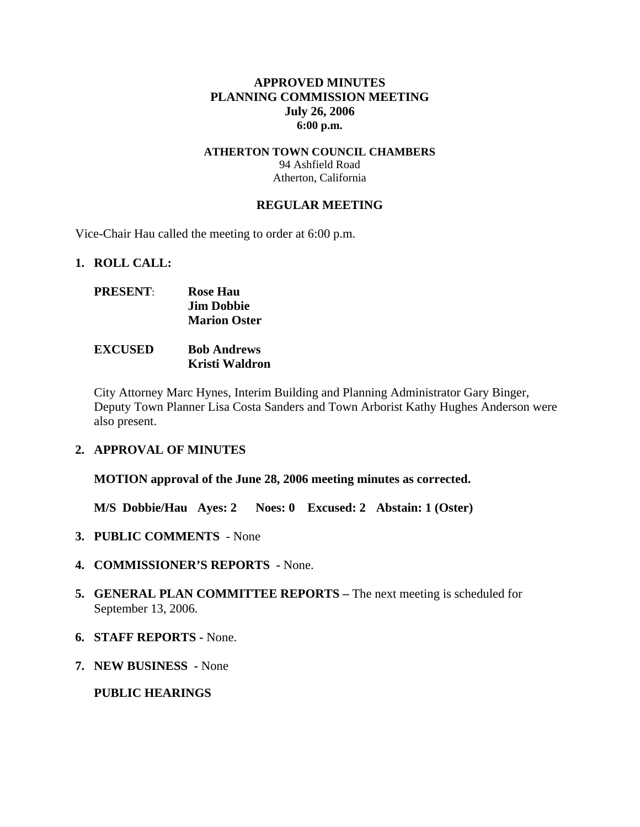### **APPROVED MINUTES PLANNING COMMISSION MEETING July 26, 2006 6:00 p.m.**

#### **ATHERTON TOWN COUNCIL CHAMBERS**  94 Ashfield Road Atherton, California

#### **REGULAR MEETING**

Vice-Chair Hau called the meeting to order at 6:00 p.m.

#### **1. ROLL CALL:**

| <b>PRESENT:</b> | <b>Rose Hau</b>     |
|-----------------|---------------------|
|                 | <b>Jim Dobbie</b>   |
|                 | <b>Marion Oster</b> |
|                 |                     |

### **EXCUSED Bob Andrews Kristi Waldron**

City Attorney Marc Hynes, Interim Building and Planning Administrator Gary Binger, Deputy Town Planner Lisa Costa Sanders and Town Arborist Kathy Hughes Anderson were also present.

# **2. APPROVAL OF MINUTES**

**MOTION approval of the June 28, 2006 meeting minutes as corrected.** 

**M/S Dobbie/Hau Ayes: 2 Noes: 0 Excused: 2 Abstain: 1 (Oster)** 

- **3. PUBLIC COMMENTS** None
- **4. COMMISSIONER'S REPORTS -** None.
- **5. GENERAL PLAN COMMITTEE REPORTS** The next meeting is scheduled for September 13, 2006.
- **6. STAFF REPORTS** None.
- **7. NEW BUSINESS** None

#### **PUBLIC HEARINGS**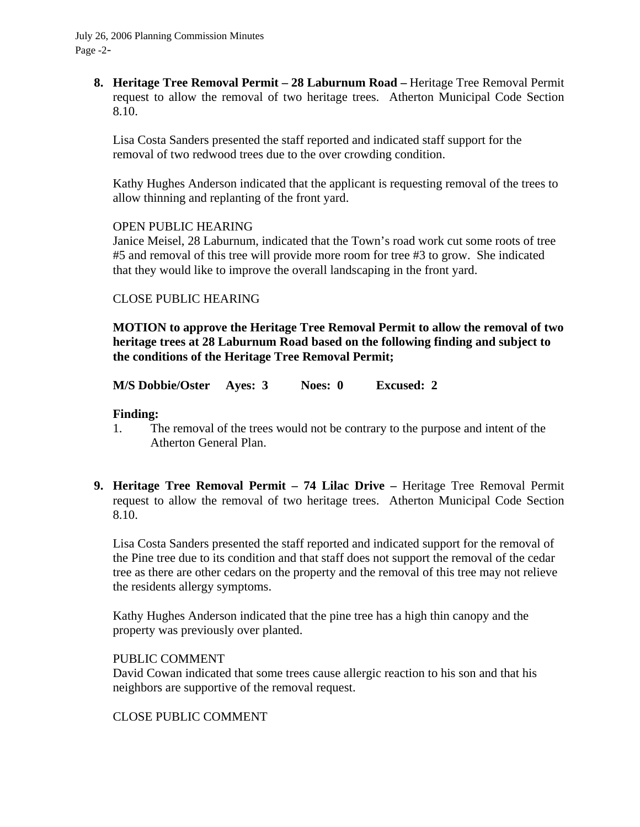**8. Heritage Tree Removal Permit – 28 Laburnum Road –** Heritage Tree Removal Permit request to allow the removal of two heritage trees. Atherton Municipal Code Section 8.10.

Lisa Costa Sanders presented the staff reported and indicated staff support for the removal of two redwood trees due to the over crowding condition.

Kathy Hughes Anderson indicated that the applicant is requesting removal of the trees to allow thinning and replanting of the front yard.

#### OPEN PUBLIC HEARING

Janice Meisel, 28 Laburnum, indicated that the Town's road work cut some roots of tree #5 and removal of this tree will provide more room for tree #3 to grow. She indicated that they would like to improve the overall landscaping in the front yard.

# CLOSE PUBLIC HEARING

**MOTION to approve the Heritage Tree Removal Permit to allow the removal of two heritage trees at 28 Laburnum Road based on the following finding and subject to the conditions of the Heritage Tree Removal Permit;** 

**M/S Dobbie/Oster Ayes: 3 Noes: 0 Excused: 2** 

## **Finding:**

- 1. The removal of the trees would not be contrary to the purpose and intent of the Atherton General Plan.
- **9. Heritage Tree Removal Permit 74 Lilac Drive** Heritage Tree Removal Permit request to allow the removal of two heritage trees. Atherton Municipal Code Section 8.10.

Lisa Costa Sanders presented the staff reported and indicated support for the removal of the Pine tree due to its condition and that staff does not support the removal of the cedar tree as there are other cedars on the property and the removal of this tree may not relieve the residents allergy symptoms.

Kathy Hughes Anderson indicated that the pine tree has a high thin canopy and the property was previously over planted.

#### PUBLIC COMMENT

David Cowan indicated that some trees cause allergic reaction to his son and that his neighbors are supportive of the removal request.

# CLOSE PUBLIC COMMENT